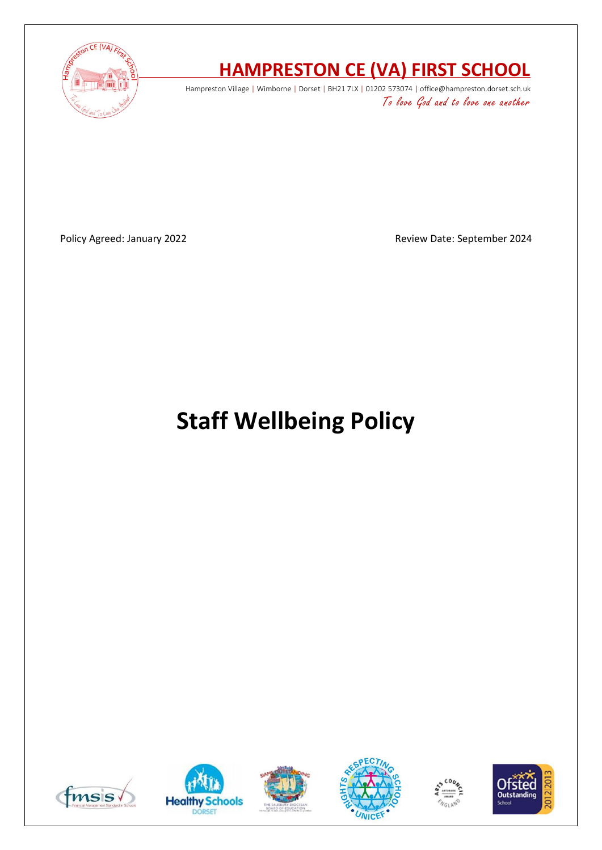

# **HAMPRESTON CE (VA) FIRST SCHOOL**

Hampreston Village | Wimborne | Dorset | BH21 7LX | 01202 573074 | office@hampreston.dorset.sch.uk To love God and to love one another

Policy Agreed: January 2022 **Review Date: September 2024** 

# **Staff Wellbeing Policy**











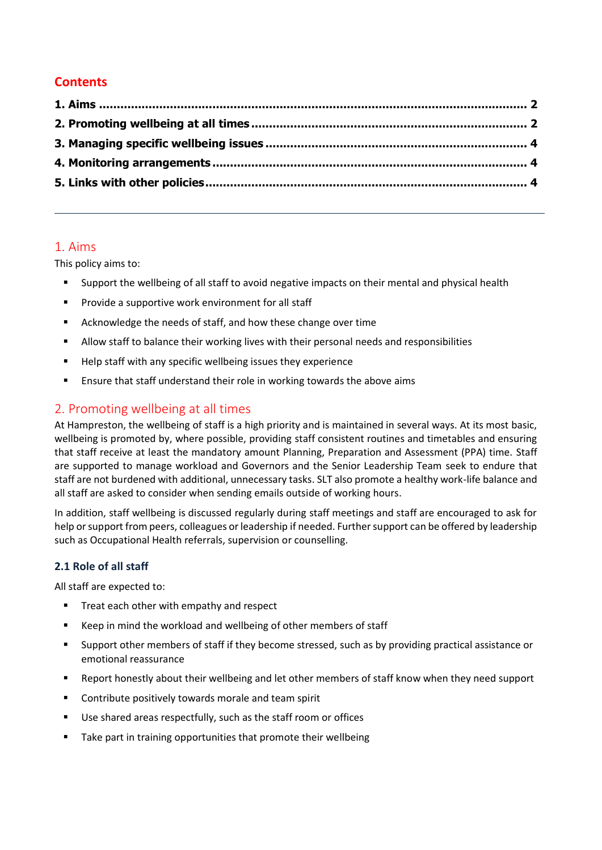# **Contents**

### <span id="page-1-0"></span>1. Aims

This policy aims to:

- Support the wellbeing of all staff to avoid negative impacts on their mental and physical health
- Provide a supportive work environment for all staff
- Acknowledge the needs of staff, and how these change over time
- Allow staff to balance their working lives with their personal needs and responsibilities
- Help staff with any specific wellbeing issues they experience
- Ensure that staff understand their role in working towards the above aims

# <span id="page-1-1"></span>2. Promoting wellbeing at all times

At Hampreston, the wellbeing of staff is a high priority and is maintained in several ways. At its most basic, wellbeing is promoted by, where possible, providing staff consistent routines and timetables and ensuring that staff receive at least the mandatory amount Planning, Preparation and Assessment (PPA) time. Staff are supported to manage workload and Governors and the Senior Leadership Team seek to endure that staff are not burdened with additional, unnecessary tasks. SLT also promote a healthy work-life balance and all staff are asked to consider when sending emails outside of working hours.

In addition, staff wellbeing is discussed regularly during staff meetings and staff are encouraged to ask for help or support from peers, colleagues or leadership if needed. Further support can be offered by leadership such as Occupational Health referrals, supervision or counselling.

#### **2.1 Role of all staff**

All staff are expected to:

- Treat each other with empathy and respect
- Keep in mind the workload and wellbeing of other members of staff
- Support other members of staff if they become stressed, such as by providing practical assistance or emotional reassurance
- Report honestly about their wellbeing and let other members of staff know when they need support
- Contribute positively towards morale and team spirit
- Use shared areas respectfully, such as the staff room or offices
- Take part in training opportunities that promote their wellbeing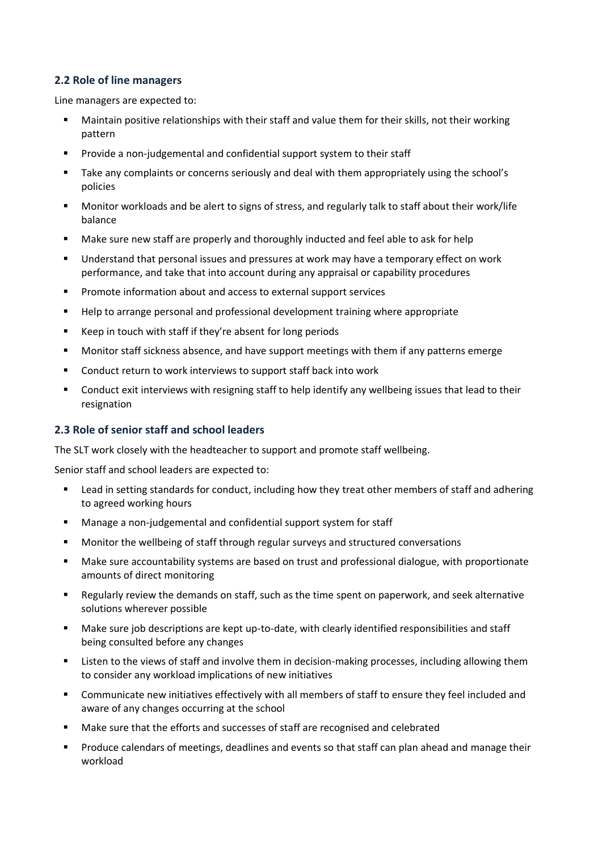#### **2.2 Role of line managers**

Line managers are expected to:

- Maintain positive relationships with their staff and value them for their skills, not their working pattern
- Provide a non-judgemental and confidential support system to their staff
- Take any complaints or concerns seriously and deal with them appropriately using the school's policies
- Monitor workloads and be alert to signs of stress, and regularly talk to staff about their work/life balance
- Make sure new staff are properly and thoroughly inducted and feel able to ask for help
- Understand that personal issues and pressures at work may have a temporary effect on work performance, and take that into account during any appraisal or capability procedures
- Promote information about and access to external support services
- Help to arrange personal and professional development training where appropriate
- Keep in touch with staff if they're absent for long periods
- Monitor staff sickness absence, and have support meetings with them if any patterns emerge
- Conduct return to work interviews to support staff back into work
- Conduct exit interviews with resigning staff to help identify any wellbeing issues that lead to their resignation

#### **2.3 Role of senior staff and school leaders**

The SLT work closely with the headteacher to support and promote staff wellbeing.

Senior staff and school leaders are expected to:

- Lead in setting standards for conduct, including how they treat other members of staff and adhering to agreed working hours
- Manage a non-judgemental and confidential support system for staff
- Monitor the wellbeing of staff through regular surveys and structured conversations
- Make sure accountability systems are based on trust and professional dialogue, with proportionate amounts of direct monitoring
- Regularly review the demands on staff, such as the time spent on paperwork, and seek alternative solutions wherever possible
- Make sure job descriptions are kept up-to-date, with clearly identified responsibilities and staff being consulted before any changes
- Listen to the views of staff and involve them in decision-making processes, including allowing them to consider any workload implications of new initiatives
- Communicate new initiatives effectively with all members of staff to ensure they feel included and aware of any changes occurring at the school
- Make sure that the efforts and successes of staff are recognised and celebrated
- Produce calendars of meetings, deadlines and events so that staff can plan ahead and manage their workload